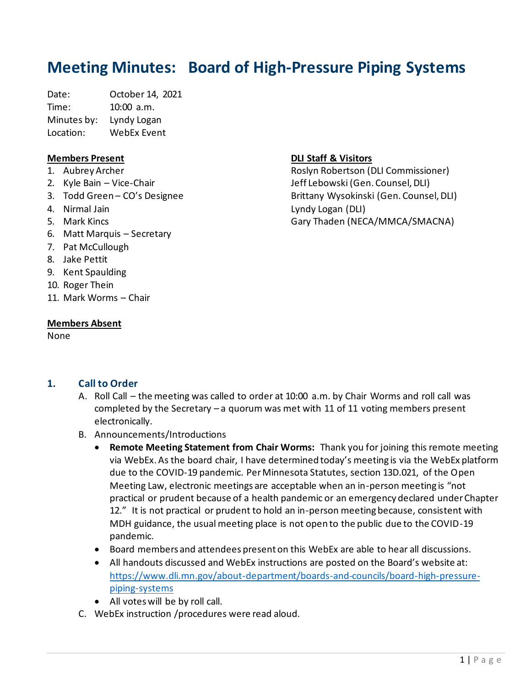# **Meeting Minutes: Board of High-Pressure Piping Systems**

Date: October 14, 2021 Time: 10:00 a.m. Minutes by: Lyndy Logan Location: WebEx Event

#### **Members Present**

- 1. Aubrey Archer
- 2. Kyle Bain Vice-Chair
- 3. Todd Green CO's Designee
- 4. Nirmal Jain
- 5. Mark Kincs
- 6. Matt Marquis Secretary
- 7. Pat McCullough
- 8. Jake Pettit
- 9. Kent Spaulding
- 10. Roger Thein
- 11. Mark Worms Chair

#### **Members Absent**

None

## **DLI Staff & Visitors**

Roslyn Robertson (DLI Commissioner) Jeff Lebowski (Gen. Counsel, DLI) Brittany Wysokinski (Gen. Counsel, DLI) Lyndy Logan (DLI) Gary Thaden (NECA/MMCA/SMACNA)

# **1. Call to Order**

- A. Roll Call the meeting was called to order at 10:00 a.m. by Chair Worms and roll call was completed by the Secretary – a quorum was met with 11 of 11 voting members present electronically.
- B. Announcements/Introductions
	- **Remote Meeting Statement from Chair Worms:** Thank you for joining this remote meeting via WebEx. As the board chair, I have determined today's meeting is via the WebEx platform due to the COVID-19 pandemic. Per Minnesota Statutes, section 13D.021, of the Open Meeting Law, electronic meetings are acceptable when an in-person meeting is "not practical or prudent because of a health pandemic or an emergency declared under Chapter 12." It is not practical or prudent to hold an in-person meeting because, consistent with MDH guidance, the usual meeting place is not open to the public due to the COVID-19 pandemic.
	- Board members and attendees present on this WebEx are able to hear all discussions.
	- All handouts discussed and WebEx instructions are posted on the Board's website at: [https://www.dli.mn.gov/about-department/boards-and-councils/board-high-pressure](https://www.dli.mn.gov/about-department/boards-and-councils/board-high-pressure-piping-systems)[piping-systems](https://www.dli.mn.gov/about-department/boards-and-councils/board-high-pressure-piping-systems)
	- All votes will be by roll call.
- C. WebEx instruction /procedures were read aloud.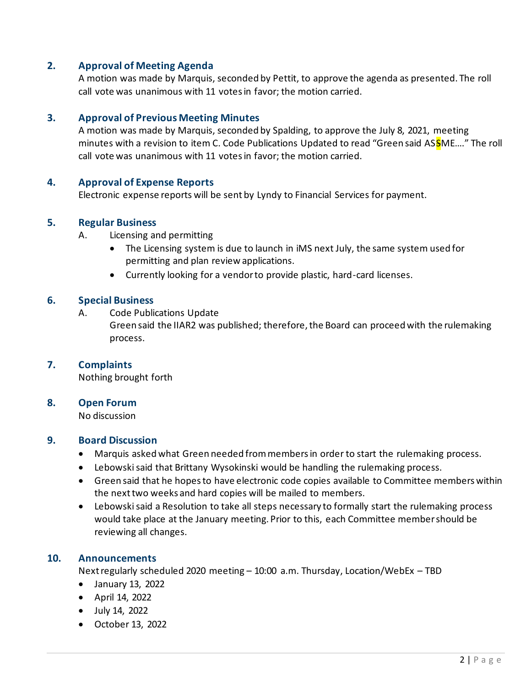# **2. Approval of Meeting Agenda**

A motion was made by Marquis, seconded by Pettit, to approve the agenda as presented. The roll call vote was unanimous with 11 votes in favor; the motion carried.

#### **3. Approval of Previous Meeting Minutes**

A motion was made by Marquis, seconded by Spalding, to approve the July 8, 2021, meeting minutes with a revision to item C. Code Publications Updated to read "Green said ASSME...." The roll call vote was unanimous with 11 votesin favor; the motion carried.

#### **4. Approval of Expense Reports**

Electronic expense reports will be sent by Lyndy to Financial Services for payment.

#### **5. Regular Business**

- A. Licensing and permitting
	- The Licensing system is due to launch in iMS next July, the same system used for permitting and plan review applications.
	- Currently looking for a vendor to provide plastic, hard-card licenses.

#### **6. Special Business**

A. Code Publications Update

Green said the IIAR2 was published; therefore, the Board can proceed with the rulemaking process.

#### **7. Complaints**

Nothing brought forth

#### **8. Open Forum**

No discussion

#### **9. Board Discussion**

- Marquis asked what Green needed from members in order to start the rulemaking process.
- Lebowski said that Brittany Wysokinski would be handling the rulemaking process.
- Green said that he hopes to have electronic code copies available to Committee members within the next two weeks and hard copies will be mailed to members.
- Lebowski said a Resolution to take all steps necessary to formally start the rulemaking process would take place at the January meeting. Prior to this, each Committee member should be reviewing all changes.

#### **10. Announcements**

Next regularly scheduled 2020 meeting – 10:00 a.m. Thursday, Location/WebEx – TBD

- January 13, 2022
- April 14, 2022
- July 14, 2022
- October 13, 2022